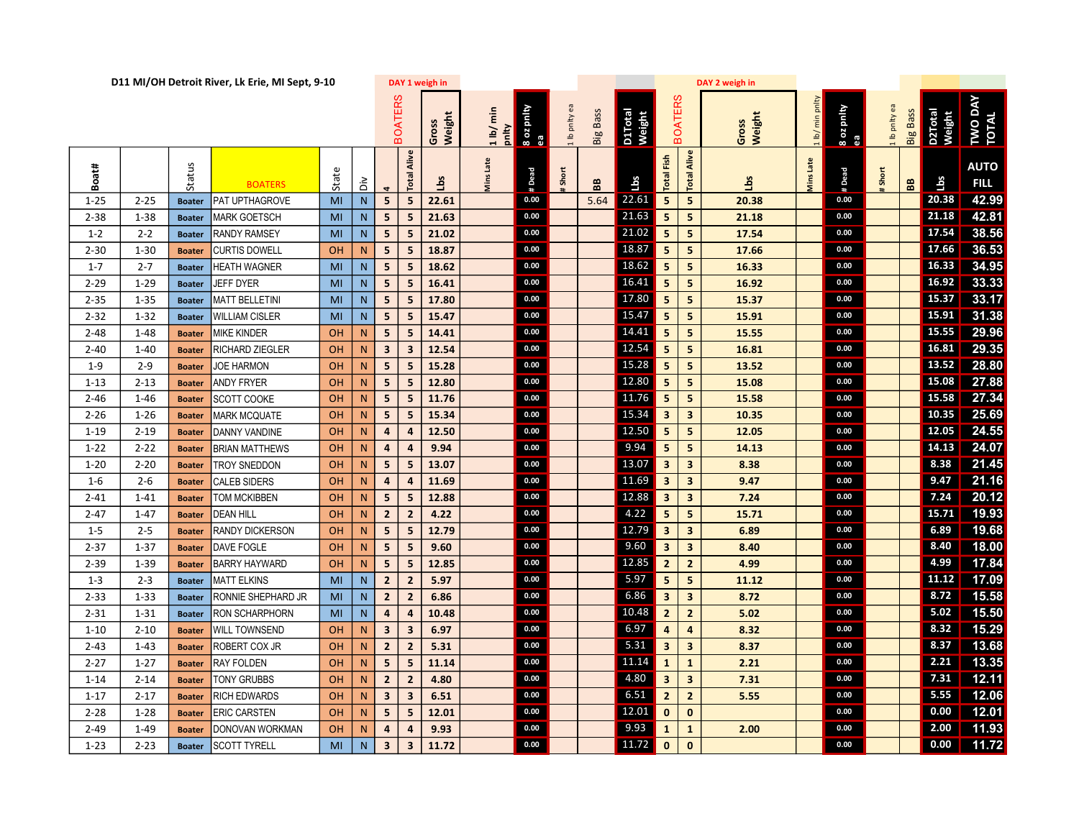| D11 MI/OH Detroit River, Lk Erie, MI Sept, 9-10 |          |               |                       |           |           |                         |                         | DAY 1 weigh in  |                   |                 |               |                 |                   |                         | DAY 2 weigh in          |                 |              |                  |             |                 |                          |                            |
|-------------------------------------------------|----------|---------------|-----------------------|-----------|-----------|-------------------------|-------------------------|-----------------|-------------------|-----------------|---------------|-----------------|-------------------|-------------------------|-------------------------|-----------------|--------------|------------------|-------------|-----------------|--------------------------|----------------------------|
|                                                 |          |               |                       |           |           |                         | <b>BOATERS</b>          | Weight<br>Gross | 1 lb/min<br>pnity | 8 oz pnity<br>æ | 1 lb pnity ea | <b>Big Bass</b> | D1Total<br>Weight |                         | <b>BOATERS</b>          | Weight<br>Gross | 1 lb/min     | 8 oz pnity<br>ea | Ib pnity ea | <b>Big Bass</b> | <b>D2Total</b><br>Weight | TWO DAY<br>TOTAL           |
| Boat#                                           |          | Status        | <b>BOATERS</b>        | State     | ăά        |                         | Alive<br>Total          | Lbs             | Vins Late         | # Dead          | Short         | 88              | Lbs               | <b>Total Fish</b>       | Alive<br>Total          | <b>Sql</b>      | Late<br>vins | # Dead           | Short       | BB              | Lbs                      | <b>AUTO</b><br><b>FILL</b> |
| $1 - 25$                                        | $2 - 25$ | <b>Boater</b> | PAT UPTHAGROVE        | MI        | N         | 5                       | 5                       | 22.61           |                   | 0.00            |               | 5.64            | 22.61             | 5 <sub>1</sub>          | 5                       | 20.38           |              | 0.00             |             |                 | 20.38                    | 42.99                      |
| $2 - 38$                                        | $1 - 38$ | <b>Boater</b> | MARK GOETSCH          | MI        | N         | 5                       | $\overline{\mathbf{5}}$ | 21.63           |                   | 0.00            |               |                 | 21.63             | 5 <sub>1</sub>          | 5                       | 21.18           |              | 0.00             |             |                 | 21.18                    | 42.81                      |
| $1 - 2$                                         | $2 - 2$  | <b>Boater</b> | <b>RANDY RAMSEY</b>   | MI        | N         | 5                       | 5                       | 21.02           |                   | 0.00            |               |                 | 21.02             | 5 <sub>1</sub>          | 5                       | 17.54           |              | 0.00             |             |                 | 17.54                    | 38.56                      |
| $2 - 30$                                        | $1 - 30$ | <b>Boater</b> | <b>CURTIS DOWELL</b>  | <b>OH</b> | N         | 5                       | 5                       | 18.87           |                   | 0.00            |               |                 | 18.87             | 5 <sup>1</sup>          | 5                       | 17.66           |              | 0.00             |             |                 | 17.66                    | 36.53                      |
| $1 - 7$                                         | $2 - 7$  | <b>Boater</b> | HEATH WAGNER          | MI        | N         | 5                       | 5                       | 18.62           |                   | 0.00            |               |                 | 18.62             | 5 <sub>1</sub>          | 5                       | 16.33           |              | 0.00             |             |                 |                          | 16.33 34.95                |
| $2 - 29$                                        | $1 - 29$ | <b>Boater</b> | JEFF DYER             | MI        | N         | 5                       | 5                       | 16.41           |                   | 0.00            |               |                 | 16.41             | 5 <sub>1</sub>          | 5                       | 16.92           |              | 0.00             |             |                 | 16.92                    | 33.33                      |
| $2 - 35$                                        | $1 - 35$ | <b>Boater</b> | <b>MATT BELLETINI</b> | MI        | N         | 5                       | 5                       | 17.80           |                   | 0.00            |               |                 | 17.80             | 5 <sup>1</sup>          | 5                       | 15.37           |              | 0.00             |             |                 | 15.37                    | 33.17                      |
| $2 - 32$                                        | $1 - 32$ | <b>Boater</b> | <b>WILLIAM CISLER</b> | MI        | N         | 5                       | 5                       | 15.47           |                   | 0.00            |               |                 | 15.47             | 5 <sub>1</sub>          | 5                       | 15.91           |              | 0.00             |             |                 | $15.91$                  | 31.38                      |
| $2 - 48$                                        | $1 - 48$ | <b>Boater</b> | <b>MIKE KINDER</b>    | OH        | N         | 5                       | 5                       | 14.41           |                   | 0.00            |               |                 | 14.41             | $\overline{\mathbf{5}}$ | 5                       | 15.55           |              | 0.00             |             |                 | 15.55                    | 29.96                      |
| $2 - 40$                                        | $1 - 40$ | <b>Boater</b> | RICHARD ZIEGLER       | OH        | N         | $\overline{\mathbf{3}}$ | $\overline{\mathbf{3}}$ | 12.54           |                   | 0.00            |               |                 | 12.54             | 5 <sub>1</sub>          | 5                       | 16.81           |              | 0.00             |             |                 | 16.81                    | 29.35                      |
| $1 - 9$                                         | $2 - 9$  | <b>Boater</b> | <b>JOE HARMON</b>     | OH        | N         | 5                       | 5                       | 15.28           |                   | 0.00            |               |                 | 15.28             | 5 <sub>1</sub>          | 5                       | 13.52           |              | 0.00             |             |                 | 13.52                    | 28.80                      |
| $1 - 13$                                        | $2 - 13$ | <b>Boater</b> | <b>ANDY FRYER</b>     | <b>OH</b> | N         | 5                       | 5                       | 12.80           |                   | 0.00            |               |                 | 12.80             | 5 <sub>1</sub>          | 5                       | 15.08           |              | 0.00             |             |                 | 15.08                    | 27.88                      |
| $2 - 46$                                        | $1 - 46$ | <b>Boater</b> | <b>SCOTT COOKE</b>    | OH        | N         | $5\overline{5}$         | 5                       | 11.76           |                   | 0.00            |               |                 | 11.76             | 5 <sub>1</sub>          | 5                       | 15.58           |              | 0.00             |             |                 | 15.58                    | 27.34                      |
| $2 - 26$                                        | $1 - 26$ | <b>Boater</b> | <b>MARK MCQUATE</b>   | OH        | N         | 5                       | 5                       | 15.34           |                   | 0.00            |               |                 | 15.34             | 3 <sup>7</sup>          | $\overline{\mathbf{3}}$ | 10.35           |              | 0.00             |             |                 | 10.35                    | 25.69                      |
| $1 - 19$                                        | $2 - 19$ | <b>Boater</b> | DANNY VANDINE         | OH        | N         | $\overline{4}$          | 4                       | 12.50           |                   | 0.00            |               |                 | 12.50             | $\overline{\mathbf{5}}$ | 5                       | 12.05           |              | 0.00             |             |                 | 12.05                    | 24.55                      |
| $1 - 22$                                        | $2 - 22$ | <b>Boater</b> | <b>BRIAN MATTHEWS</b> | OH        | N         | $\overline{4}$          | $\overline{\mathbf{4}}$ | 9.94            |                   | 0.00            |               |                 | 9.94              | 5 <sub>1</sub>          | 5                       | 14.13           |              | 0.00             |             |                 |                          | 14.13 24.07                |
| $1 - 20$                                        | $2 - 20$ | <b>Boater</b> | <b>TROY SNEDDON</b>   | OH        | N         | 5                       | 5                       | 13.07           |                   | 0.00            |               |                 | 13.07             | 3 <sup>7</sup>          | $\overline{\mathbf{3}}$ | 8.38            |              | 0.00             |             |                 | 8.38                     | 21.45                      |
| $1 - 6$                                         | $2 - 6$  | <b>Boater</b> | <b>CALEB SIDERS</b>   | <b>OH</b> | N         | $\overline{4}$          | 4                       | 11.69           |                   | 0.00            |               |                 | 11.69             | 3 <sup>7</sup>          | $\overline{\mathbf{3}}$ | 9.47            |              | 0.00             |             |                 | 9.47                     | 21.16                      |
| $2 - 41$                                        | $1 - 41$ | <b>Boater</b> | TOM MCKIBBEN          | OH        | N         | 5                       | $5\overline{5}$         | 12.88           |                   | 0.00            |               |                 | 12.88             | 3 <sup>7</sup>          | $\overline{\mathbf{3}}$ | 7.24            |              | 0.00             |             |                 | 7.24                     | 20.12                      |
| $2 - 47$                                        | $1 - 47$ | <b>Boater</b> | <b>DEAN HILL</b>      | OH        | N         | $\overline{2}$          | $\overline{2}$          | 4.22            |                   | 0.00            |               |                 | 4.22              | $\overline{\mathbf{5}}$ | 5                       | 15.71           |              | 0.00             |             |                 | 15.71                    | 19.93                      |
| $1 - 5$                                         | $2 - 5$  | <b>Boater</b> | RANDY DICKERSON       | OH        | N         | 5                       | $5\overline{5}$         | 12.79           |                   | 0.00            |               |                 | 12.79             | $\mathbf{3}$            | $\overline{\mathbf{3}}$ | 6.89            |              | 0.00             |             |                 | 6.89                     | 19.68                      |
| $2 - 37$                                        | $1 - 37$ | <b>Boater</b> | DAVE FOGLE            | OH        | N         | 5                       | 5                       | 9.60            |                   | 0.00            |               |                 | 9.60              | 3 <sup>7</sup>          | $\overline{\mathbf{3}}$ | 8.40            |              | 0.00             |             |                 | 8.40                     | 18.00                      |
| $2 - 39$                                        | $1 - 39$ | <b>Boater</b> | <b>BARRY HAYWARD</b>  | OH        | N         | 5                       | 5                       | 12.85           |                   | 0.00            |               |                 | 12.85             | $\overline{2}$          | $\overline{2}$          | 4.99            |              | 0.00             |             |                 | 4.99                     | 17.84                      |
| $1 - 3$                                         | $2 - 3$  | <b>Boater</b> | <b>MATT ELKINS</b>    | MI        | N         | $\overline{2}$          | $\overline{2}$          | 5.97            |                   | 0.00            |               |                 | 5.97              | 5 <sub>1</sub>          | 5                       | 11.12           |              | 0.00             |             |                 | 11.12                    | 17.09                      |
| $2 - 33$                                        | $1 - 33$ | <b>Boater</b> | RONNIE SHEPHARD JR    | MI        | N         | $\overline{2}$          | $\overline{2}$          | 6.86            |                   | 0.00            |               |                 | 6.86              | 3 <sup>7</sup>          | $\overline{\mathbf{3}}$ | 8.72            |              | 0.00             |             |                 | 8.72                     | 15.58                      |
| $2 - 31$                                        | $1 - 31$ | <b>Boater</b> | RON SCHARPHORN        | MI        | ${\sf N}$ | 4                       | 4                       | 10.48           |                   | 0.00            |               |                 | 10.48             | $\overline{2}$          | $\overline{2}$          | 5.02            |              | 0.00             |             |                 | 5.02                     | 15.50                      |
| $1 - 10$                                        | $2 - 10$ | <b>Boater</b> | WILL TOWNSEND         | OH        | N         | $\overline{\mathbf{3}}$ | $\overline{\mathbf{3}}$ | 6.97            |                   | 0.00            |               |                 | 6.97              | $\overline{4}$          | $\overline{a}$          | 8.32            |              | 0.00             |             |                 | 8.32                     | 15.29                      |
| $2 - 43$                                        | $1 - 43$ | <b>Boater</b> | ROBERT COX JR         | <b>OH</b> | N         | $\overline{2}$          | $\overline{2}$          | 5.31            |                   | 0.00            |               |                 | 5.31              | 3 <sup>1</sup>          | $\overline{\mathbf{3}}$ | 8.37            |              | 0.00             |             |                 | 8.37                     | 13.68                      |
| $2 - 27$                                        | $1 - 27$ | <b>Boater</b> | <b>RAY FOLDEN</b>     | OH        | N         | 5                       | 5                       | 11.14           |                   | 0.00            |               |                 | 11.14             | $\mathbf{1}$            | $\mathbf{1}$            | 2.21            |              | 0.00             |             |                 | 2.21                     | 13.35                      |
| 1-14                                            | $2 - 14$ | <b>Boater</b> | TONY GRUBBS           | OH        | N         | $\overline{2}$          | $\overline{2}$          | 4.80            |                   | 0.00            |               |                 | 4.80              | 3 <sup>7</sup>          | $\overline{\mathbf{3}}$ | 7.31            |              | 0.00             |             |                 | 7.31                     | 12.11                      |
| $1 - 17$                                        | $2 - 17$ | <b>Boater</b> | <b>RICH EDWARDS</b>   | OH        | N         | $\overline{\mathbf{3}}$ | $\overline{\mathbf{3}}$ | 6.51            |                   | 0.00            |               |                 | 6.51              | $\overline{2}$          | $\overline{2}$          | 5.55            |              | 0.00             |             |                 | 5.55                     | 12.06                      |
| $2 - 28$                                        | $1 - 28$ | <b>Boater</b> | <b>ERIC CARSTEN</b>   | OH        | N         | 5                       | 5                       | 12.01           |                   | 0.00            |               |                 | 12.01             | $\mathbf{0}$            | $\mathbf{0}$            |                 |              | 0.00             |             |                 | 0.00                     | 12.01                      |
| $2 - 49$                                        | $1 - 49$ | <b>Boater</b> | DONOVAN WORKMAN       | OH        | N         | $\overline{a}$          | 4                       | 9.93            |                   | 0.00            |               |                 | 9.93              | $\mathbf{1}$            | $\mathbf{1}$            | 2.00            |              | 0.00             |             |                 | 2.00                     | 11.93                      |
| $1 - 23$                                        | $2 - 23$ | <b>Boater</b> | <b>SCOTT TYRELL</b>   | MI        | ${\sf N}$ | $\overline{\mathbf{3}}$ | $\overline{\mathbf{3}}$ | 11.72           |                   | 0.00            |               |                 | 11.72             | $\mathbf{0}$            | $\mathbf{0}$            |                 |              | 0.00             |             |                 |                          | $0.00$ 11.72               |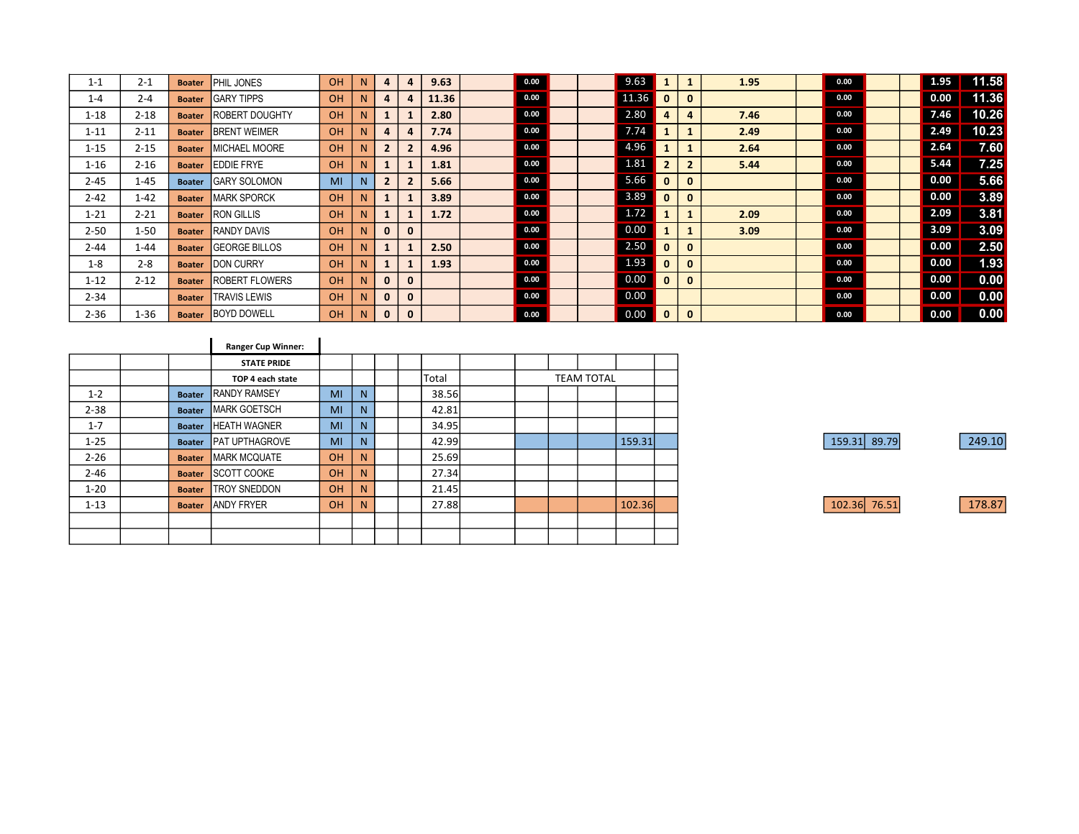| $1 - 1$  | $2 - 1$  | <b>Boater</b> | PHIL JONES             | OH        | N  | 4              | 4              | 9.63  | 0.00 |  | 9.63  |                |                | 1.95 | 0.00 | 1.95 | 11.58  |
|----------|----------|---------------|------------------------|-----------|----|----------------|----------------|-------|------|--|-------|----------------|----------------|------|------|------|--------|
| $1 - 4$  | $2 - 4$  | <b>Boater</b> | <b>GARY TIPPS</b>      | OH        | N. | 4              | $\overline{a}$ | 11.36 | 0.00 |  | 11.36 | $\mathbf{0}$   | $\bf{0}$       |      | 0.00 | 0.00 | 11.36  |
| $1 - 18$ | $2 - 18$ | <b>Boater</b> | <b>ROBERT DOUGHTY</b>  | <b>OH</b> | N. | $\mathbf{1}$   |                | 2.80  | 0.00 |  | 2.80  | 4              | 4              | 7.46 | 0.00 | 7.46 | 10.26  |
| $1 - 11$ | $2 - 11$ | <b>Boater</b> | <b>BRENT WEIMER</b>    | OH        | N. | 4              | 4              | 7.74  | 0.00 |  | 7.74  |                |                | 2.49 | 0.00 | 2.49 | 10.23  |
| $1 - 15$ | $2 - 15$ | <b>Boater</b> | MICHAEL MOORE          | OH        | N. | $\overline{2}$ | $\overline{2}$ | 4.96  | 0.00 |  | 4.96  |                |                | 2.64 | 0.00 | 2.64 | 7.60   |
| $1 - 16$ | $2 - 16$ | <b>Boater</b> | <b>LEDDIE FRYE</b>     | <b>OH</b> | N  |                |                | 1.81  | 0.00 |  | 1.81  | $\overline{2}$ | $\overline{2}$ | 5.44 | 0.00 | 5.44 | 7.25   |
| $2 - 45$ | $1 - 45$ | <b>Boater</b> | <b>GARY SOLOMON</b>    | MI        | N  | $\overline{2}$ | $\overline{2}$ | 5.66  | 0.00 |  | 5.66  | $\mathbf{0}$   | $\mathbf{0}$   |      | 0.00 | 0.00 | 5.66   |
| $2 - 42$ | $1 - 42$ | <b>Boater</b> | <b>MARK SPORCK</b>     | <b>OH</b> | N. | $\mathbf{1}$   |                | 3.89  | 0.00 |  | 3.89  | $\mathbf{0}$   | $\bf{0}$       |      | 0.00 | 0.00 | 3.89   |
| $1 - 21$ | $2 - 21$ | <b>Boater</b> | <b>RON GILLIS</b>      | <b>OH</b> | N. |                |                | 1.72  | 0.00 |  | 1.72  |                |                | 2.09 | 0.00 | 2.09 | $3.81$ |
| $2 - 50$ | $1 - 50$ | <b>Boater</b> | <b>RANDY DAVIS</b>     | OH        | N. | $\mathbf{0}$   | $\mathbf{0}$   |       | 0.00 |  | 0.00  |                |                | 3.09 | 0.00 | 3.09 | 3.09   |
| $2 - 44$ | $1 - 44$ | <b>Boater</b> | <b>GEORGE BILLOS</b>   | <b>OH</b> | N  |                |                | 2.50  | 0.00 |  | 2.50  | $\mathbf{0}$   | 0              |      | 0.00 | 0.00 | 2.50   |
| $1 - 8$  | $2 - 8$  | <b>Boater</b> | <b>DON CURRY</b>       | OH        | N  | $\mathbf{1}$   |                | 1.93  | 0.00 |  | 1.93  | $\mathbf{0}$   | $\bf{0}$       |      | 0.00 | 0.00 | 1.93   |
| $1 - 12$ | $2 - 12$ | <b>Boater</b> | <b>IROBERT FLOWERS</b> | OH        | N. | $\mathbf{0}$   | $\mathbf{0}$   |       | 0.00 |  | 0.00  | $\mathbf{0}$   | $\bf{0}$       |      | 0.00 | 0.00 | 0.00   |
| $2 - 34$ |          | <b>Boater</b> | <b>ITRAVIS LEWIS</b>   | OH        | N. | $\mathbf{0}$   | $\mathbf{0}$   |       | 0.00 |  | 0.00  |                |                |      | 0.00 | 0.00 | 0.00   |
| $2 - 36$ | $1 - 36$ | <b>Boater</b> | <b>BOYD DOWELL</b>     | <b>OH</b> | N. | $\mathbf{0}$   | $\mathbf{0}$   |       | 0.00 |  | 0.00  | $\mathbf{0}$   | $\mathbf{0}$   |      | 0.00 | 0.00 | 0.00   |

|          |               | <b>Ranger Cup Winner:</b> |    |    |  |       |                   |  |  |        |  |  |
|----------|---------------|---------------------------|----|----|--|-------|-------------------|--|--|--------|--|--|
|          |               | <b>STATE PRIDE</b>        |    |    |  |       |                   |  |  |        |  |  |
|          |               | TOP 4 each state          |    |    |  | Total | <b>TEAM TOTAL</b> |  |  |        |  |  |
| $1 - 2$  | <b>Boater</b> | <b>RANDY RAMSEY</b>       | MI | N. |  | 38.56 |                   |  |  |        |  |  |
| $2 - 38$ | <b>Boater</b> | <b>MARK GOETSCH</b>       | MI | N. |  | 42.81 |                   |  |  |        |  |  |
| $1 - 7$  | <b>Boater</b> | <b>HEATH WAGNER</b>       | MI | N. |  | 34.95 |                   |  |  |        |  |  |
| $1 - 25$ | <b>Boater</b> | <b>PAT UPTHAGROVE</b>     | MI | N. |  | 42.99 |                   |  |  | 159.31 |  |  |
| $2 - 26$ | <b>Boater</b> | <b>MARK MCQUATE</b>       | OH | N. |  | 25.69 |                   |  |  |        |  |  |
| $2 - 46$ | <b>Boater</b> | <b>SCOTT COOKE</b>        | OH | N. |  | 27.34 |                   |  |  |        |  |  |
| $1 - 20$ | <b>Boater</b> | <b>TROY SNEDDON</b>       | OH | N. |  | 21.45 |                   |  |  |        |  |  |
| $1 - 13$ | <b>Boater</b> | <b>ANDY FRYER</b>         | OH | N. |  | 27.88 |                   |  |  | 102.36 |  |  |
|          |               |                           |    |    |  |       |                   |  |  |        |  |  |
|          |               |                           |    |    |  |       |                   |  |  |        |  |  |

| 159.31 89.79 |  | 249.10 |
|--------------|--|--------|
|              |  |        |
|              |  |        |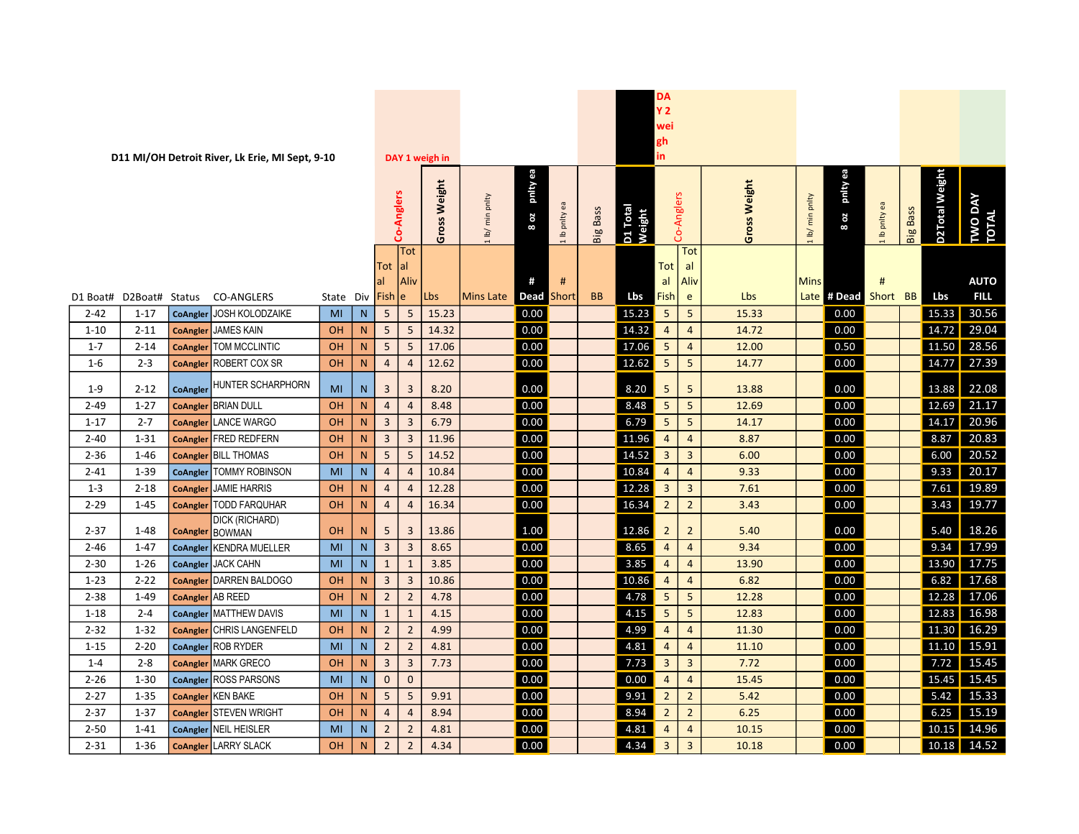| pnity ea<br>pnity ea<br><b>D2Total Weight</b><br>Weight<br>Gross Weight<br>Co-Anglers<br>Co-Anglers<br>TWO DAY<br>TOTAL<br>lb/ min pnlty<br>min pnlty<br>Ib pnity ea<br>Ib pnlty ea<br>D1 Total<br>Weight<br><b>Big Bass</b><br><b>Big Bass</b><br>8 oz<br>8 oz<br>Gross<br>1 lb/<br><b>Tot</b><br>$ $ Tot<br>Tot  al<br>Tot<br>al<br>al<br>Aliv<br>#<br>Aliv<br>Mins<br>#<br><b>AUTO</b><br>#<br>al<br>Lbs<br><b>FILL</b><br><b>BB</b><br>Lbs<br>Fish  <br>Lbs<br>Short BB<br>State Div Fish e<br>Lbs<br>Mins Late<br>Dead<br>Short<br>e<br>Late # Dead<br>D2Boat# Status<br><b>CO-ANGLERS</b><br>D1 Boat#<br>30.56<br>CoAngler JOSH KOLODZAIKE<br>0.00<br>15.23<br>5<br>0.00<br>15.33<br>5<br>5<br>15.23<br>5<br>15.33<br>$2 - 42$<br>$1 - 17$<br>MI<br>N<br>29.04<br><b>JAMES KAIN</b><br>5<br>0.00<br>14.32<br>$\overline{4}$<br>14.72<br>5<br>14.32<br>$\overline{4}$<br>14.72<br>0.00<br>$1 - 10$<br>$2 - 11$<br><b>OH</b><br>N<br><b>CoAngler</b><br>28.56<br>5<br>0.00<br>17.06<br>5<br>0.50<br>11.50<br>$2 - 14$<br><b>OH</b><br>N<br>17.06<br>12.00<br>$1 - 7$<br>TOM MCCLINTIC<br>5<br>$\overline{4}$<br><b>CoAngler</b><br>14.77 27.39<br>5<br>ROBERT COX SR<br>0.00<br>12.62<br>5<br>0.00<br>$1 - 6$<br>$2 - 3$<br><b>OH</b><br>N<br>$\overline{4}$<br>12.62<br>14.77<br>$\overline{4}$<br><b>CoAngler</b><br>HUNTER SCHARPHORN<br>22.08<br>0.00<br>5<br>5<br>$\overline{\mathbf{3}}$<br>$\overline{3}$<br>8.20<br>13.88<br>0.00<br>13.88<br>$1-9$<br>$2 - 12$<br>MI<br>N<br>8.20<br><b>CoAngler</b><br>$5 \mid$<br>21.17<br>0.00<br>5<br>0.00<br>8.48<br>8.48<br>12.69<br>$2 - 49$<br>$1 - 27$<br><b>CoAngler BRIAN DULL</b><br>$\overline{4}$<br>$\overline{4}$<br>12.69<br><b>OH</b><br>N<br>14.17 20.96<br>0.00<br>6.79<br>5 <sub>1</sub><br>$2 - 7$<br><b>CoAngler LANCE WARGO</b><br>$\overline{3}$<br>$\overline{3}$<br>6.79<br>5<br>14.17<br>0.00<br>$1 - 17$<br><b>OH</b><br>N<br>20.83<br>$\overline{3}$<br>$\overline{4}$<br><b>FRED REDFERN</b><br>OH<br>$\mathsf{N}$<br>11.96<br>0.00<br>11.96<br>$\overline{4}$<br>8.87<br>0.00<br>8.87<br>$2 - 40$<br>$1 - 31$<br>$\overline{3}$<br><b>CoAngler</b><br>20.52<br>5<br>0.00<br>14.52<br>$\overline{3}$<br>6.00<br>$1 - 46$<br>OH<br>N<br>14.52<br>$\overline{3}$<br>0.00<br>$2 - 36$<br><b>CoAngler BILL THOMAS</b><br>5<br>6.00<br>0.00<br>20.17<br>10.84<br>$\overline{4}$<br>0.00<br>9.33<br>$2 - 41$<br>$1 - 39$<br><b>TOMMY ROBINSON</b><br>MI<br>N<br>10.84<br>9.33<br>$\overline{4}$<br>$\overline{4}$<br>CoAngler<br>$\overline{4}$<br>19.89<br>0.00<br>12.28<br>$\overline{3}$<br>0.00<br>7.61<br>$1 - 3$<br>$2 - 18$<br><b>JAMIE HARRIS</b><br><b>OH</b><br>$\overline{4}$<br>12.28<br>$\overline{3}$<br>7.61<br>$\mathsf{N}$<br><b>CoAngler</b><br>$\overline{4}$<br>$2^{\circ}$<br>19.77<br><b>CoAngler</b> TODD FARQUHAR<br>0.00<br>16.34<br>0.00<br>3.43<br>$2 - 29$<br>$1 - 45$<br>16.34<br>$\overline{2}$<br>3.43<br><b>OH</b><br>N<br>$\overline{4}$<br>$\overline{4}$<br>DICK (RICHARD)<br>18.26<br>$2 - 37$<br>$1 - 48$<br>OH<br>5<br>3<br>13.86<br>1.00<br>12.86<br>$\overline{2}$<br>$\overline{2}$<br>5.40<br>0.00<br>5.40<br>N<br><b>CoAngler BOWMAN</b><br>17.99<br>$\overline{3}$<br>9.34<br>CoAngler KENDRA MUELLER<br>N<br>0.00<br>8.65<br>$\overline{4}$<br>$\overline{4}$<br>0.00<br>$2 - 46$<br>$1 - 47$<br>MI<br>$\overline{3}$<br>8.65<br>9.34<br>0.00<br>13.90<br>17.75<br>CoAngler JACK CAHN<br>$\mathbf{1}$<br>3.85<br>3.85<br>$\overline{4}$<br>0.00<br>$2 - 30$<br>$1 - 26$<br>MI<br>N<br>$\overline{4}$<br>13.90<br>$\mathbf{1}$<br>17.68<br>0.00<br>$\overline{3}$<br>10.86<br>6.82<br>0.00<br>6.82<br>$1 - 23$<br>$2 - 22$<br><b>DARREN BALDOGO</b><br><b>OH</b><br>$\overline{3}$<br>10.86<br>$\overline{4}$<br><b>CoAngler</b><br>N.<br>$\overline{4}$<br>5 <sup>5</sup><br>17.06<br>$\overline{2}$<br>0.00<br>4.78<br>5<br>0.00<br>$2 - 38$<br>CoAngler AB REED<br>OH<br>$\mathsf{N}$<br>$\overline{2}$<br>4.78<br>12.28<br>12.28<br>$1 - 49$<br>5 <sup>1</sup><br>16.98<br>0.00<br>4.15<br>5<br>0.00<br>12.83<br>$1 - 18$<br>$2 - 4$<br>CoAngler MATTHEW DAVIS<br>N<br>$\mathbf{1}$<br>4.15<br>12.83<br>MI<br>1<br>16.29<br>0.00<br>$2 - 32$<br>$1 - 32$<br>$\overline{2}$<br>$\overline{2}$<br>4.99<br>4.99<br>$\overline{4}$<br>11.30<br>0.00<br>11.30<br><b>CHRIS LANGENFELD</b><br><b>OH</b><br>N.<br>$\overline{4}$<br><b>CoAngler</b><br>15.91<br><b>ROB RYDER</b><br>$\overline{2}$<br>0.00<br>4.81<br>$\overline{4}$<br>0.00<br>11.10<br>$2 - 20$<br>MI<br>${\sf N}$<br>$\overline{2}$<br>4.81<br>$\overline{4}$<br>$1 - 15$<br>11.10<br><b>CoAngler</b><br>$\mathbf{3}$<br>7.72<br>15.45<br>$2 - 8$<br><b>MARK GRECO</b><br>$\overline{3}$<br>0.00<br>7.73<br>$\overline{3}$<br>7.72<br>0.00<br>$1 - 4$<br><b>OH</b><br>N<br>7.73<br>$\overline{\mathbf{3}}$<br><b>CoAngler</b><br>$\mathbf{0}$<br>15.45<br>$\mathbf 0$<br>0.00<br>$\overline{4}$<br>0.00<br>$2 - 26$<br>$1 - 30$<br><b>ROSS PARSONS</b><br>MI<br>N<br>0.00<br>$\overline{4}$<br>15.45<br>15.45<br><b>CoAngler</b><br>15.33<br>0.00<br>9.91<br>$2^{\circ}$<br>0.00<br>5.42<br>5<br>5<br>9.91<br>5.42<br>$2 - 27$<br>$1 - 35$<br>CoAngler KEN BAKE<br><b>OH</b><br>N<br>$\overline{2}$<br>2<br>15.19<br>$2 - 37$<br>$1 - 37$<br><b>CoAngler STEVEN WRIGHT</b><br>OH<br>8.94<br>0.00<br>8.94<br>6.25<br>0.00<br>6.25<br>N<br>$\overline{4}$<br>$\overline{4}$<br>$\overline{2}$<br>$\overline{2}$<br>$\overline{2}$<br>$\overline{4}$<br>14.96<br>$2 - 50$<br>MI<br>N<br>0.00<br>4.81<br>$\overline{4}$<br>10.15<br>0.00<br>$1 - 41$<br><b>NEIL HEISLER</b><br>4.81<br>10.15<br><b>CoAngler</b><br>$\overline{2}$<br>0.00<br>4.34<br>$\overline{3}$<br>$\overline{3}$<br>0.00<br>10.18<br>14.52<br>$2 - 31$<br>CoAngler LARRY SLACK<br>N<br>$\overline{2}$<br>4.34<br>$1 - 36$<br><b>OH</b><br>10.18 |  | D11 MI/OH Detroit River, Lk Erie, MI Sept, 9-10 |  |  | DAY 1 weigh in |  |  | DA<br>Y 2<br>wei<br>gh<br>in. |  |  |  |  |  |
|---------------------------------------------------------------------------------------------------------------------------------------------------------------------------------------------------------------------------------------------------------------------------------------------------------------------------------------------------------------------------------------------------------------------------------------------------------------------------------------------------------------------------------------------------------------------------------------------------------------------------------------------------------------------------------------------------------------------------------------------------------------------------------------------------------------------------------------------------------------------------------------------------------------------------------------------------------------------------------------------------------------------------------------------------------------------------------------------------------------------------------------------------------------------------------------------------------------------------------------------------------------------------------------------------------------------------------------------------------------------------------------------------------------------------------------------------------------------------------------------------------------------------------------------------------------------------------------------------------------------------------------------------------------------------------------------------------------------------------------------------------------------------------------------------------------------------------------------------------------------------------------------------------------------------------------------------------------------------------------------------------------------------------------------------------------------------------------------------------------------------------------------------------------------------------------------------------------------------------------------------------------------------------------------------------------------------------------------------------------------------------------------------------------------------------------------------------------------------------------------------------------------------------------------------------------------------------------------------------------------------------------------------------------------------------------------------------------------------------------------------------------------------------------------------------------------------------------------------------------------------------------------------------------------------------------------------------------------------------------------------------------------------------------------------------------------------------------------------------------------------------------------------------------------------------------------------------------------------------------------------------------------------------------------------------------------------------------------------------------------------------------------------------------------------------------------------------------------------------------------------------------------------------------------------------------------------------------------------------------------------------------------------------------------------------------------------------------------------------------------------------------------------------------------------------------------------------------------------------------------------------------------------------------------------------------------------------------------------------------------------------------------------------------------------------------------------------------------------------------------------------------------------------------------------------------------------------------------------------------------------------------------------------------------------------------------------------------------------------------------------------------------------------------------------------------------------------------------------------------------------------------------------------------------------------------------------------------------------------------------------------------------------------------------------------------------------------------------------------------------------------------------------------------------------------------------------------------------------------------------------------------------------------------------------------------------------------------------------------------------------------------------------------------------------------------------------------------------------------------------------------------------------------------------------------------------------------------------------------------------------------------------------------------------------------------------------------------------------------------------------------------------------------------------------------------------------------------------------------------------------------------------------------------------------------------------------------------------------------------------------------------------------------------------------------------------------------------------------------------------------------------------------------------------------|--|-------------------------------------------------|--|--|----------------|--|--|-------------------------------|--|--|--|--|--|
|                                                                                                                                                                                                                                                                                                                                                                                                                                                                                                                                                                                                                                                                                                                                                                                                                                                                                                                                                                                                                                                                                                                                                                                                                                                                                                                                                                                                                                                                                                                                                                                                                                                                                                                                                                                                                                                                                                                                                                                                                                                                                                                                                                                                                                                                                                                                                                                                                                                                                                                                                                                                                                                                                                                                                                                                                                                                                                                                                                                                                                                                                                                                                                                                                                                                                                                                                                                                                                                                                                                                                                                                                                                                                                                                                                                                                                                                                                                                                                                                                                                                                                                                                                                                                                                                                                                                                                                                                                                                                                                                                                                                                                                                                                                                                                                                                                                                                                                                                                                                                                                                                                                                                                                                                                                                                                                                                                                                                                                                                                                                                                                                                                                                                                                                                                                                   |  |                                                 |  |  |                |  |  |                               |  |  |  |  |  |
|                                                                                                                                                                                                                                                                                                                                                                                                                                                                                                                                                                                                                                                                                                                                                                                                                                                                                                                                                                                                                                                                                                                                                                                                                                                                                                                                                                                                                                                                                                                                                                                                                                                                                                                                                                                                                                                                                                                                                                                                                                                                                                                                                                                                                                                                                                                                                                                                                                                                                                                                                                                                                                                                                                                                                                                                                                                                                                                                                                                                                                                                                                                                                                                                                                                                                                                                                                                                                                                                                                                                                                                                                                                                                                                                                                                                                                                                                                                                                                                                                                                                                                                                                                                                                                                                                                                                                                                                                                                                                                                                                                                                                                                                                                                                                                                                                                                                                                                                                                                                                                                                                                                                                                                                                                                                                                                                                                                                                                                                                                                                                                                                                                                                                                                                                                                                   |  |                                                 |  |  |                |  |  |                               |  |  |  |  |  |
|                                                                                                                                                                                                                                                                                                                                                                                                                                                                                                                                                                                                                                                                                                                                                                                                                                                                                                                                                                                                                                                                                                                                                                                                                                                                                                                                                                                                                                                                                                                                                                                                                                                                                                                                                                                                                                                                                                                                                                                                                                                                                                                                                                                                                                                                                                                                                                                                                                                                                                                                                                                                                                                                                                                                                                                                                                                                                                                                                                                                                                                                                                                                                                                                                                                                                                                                                                                                                                                                                                                                                                                                                                                                                                                                                                                                                                                                                                                                                                                                                                                                                                                                                                                                                                                                                                                                                                                                                                                                                                                                                                                                                                                                                                                                                                                                                                                                                                                                                                                                                                                                                                                                                                                                                                                                                                                                                                                                                                                                                                                                                                                                                                                                                                                                                                                                   |  |                                                 |  |  |                |  |  |                               |  |  |  |  |  |
|                                                                                                                                                                                                                                                                                                                                                                                                                                                                                                                                                                                                                                                                                                                                                                                                                                                                                                                                                                                                                                                                                                                                                                                                                                                                                                                                                                                                                                                                                                                                                                                                                                                                                                                                                                                                                                                                                                                                                                                                                                                                                                                                                                                                                                                                                                                                                                                                                                                                                                                                                                                                                                                                                                                                                                                                                                                                                                                                                                                                                                                                                                                                                                                                                                                                                                                                                                                                                                                                                                                                                                                                                                                                                                                                                                                                                                                                                                                                                                                                                                                                                                                                                                                                                                                                                                                                                                                                                                                                                                                                                                                                                                                                                                                                                                                                                                                                                                                                                                                                                                                                                                                                                                                                                                                                                                                                                                                                                                                                                                                                                                                                                                                                                                                                                                                                   |  |                                                 |  |  |                |  |  |                               |  |  |  |  |  |
|                                                                                                                                                                                                                                                                                                                                                                                                                                                                                                                                                                                                                                                                                                                                                                                                                                                                                                                                                                                                                                                                                                                                                                                                                                                                                                                                                                                                                                                                                                                                                                                                                                                                                                                                                                                                                                                                                                                                                                                                                                                                                                                                                                                                                                                                                                                                                                                                                                                                                                                                                                                                                                                                                                                                                                                                                                                                                                                                                                                                                                                                                                                                                                                                                                                                                                                                                                                                                                                                                                                                                                                                                                                                                                                                                                                                                                                                                                                                                                                                                                                                                                                                                                                                                                                                                                                                                                                                                                                                                                                                                                                                                                                                                                                                                                                                                                                                                                                                                                                                                                                                                                                                                                                                                                                                                                                                                                                                                                                                                                                                                                                                                                                                                                                                                                                                   |  |                                                 |  |  |                |  |  |                               |  |  |  |  |  |
|                                                                                                                                                                                                                                                                                                                                                                                                                                                                                                                                                                                                                                                                                                                                                                                                                                                                                                                                                                                                                                                                                                                                                                                                                                                                                                                                                                                                                                                                                                                                                                                                                                                                                                                                                                                                                                                                                                                                                                                                                                                                                                                                                                                                                                                                                                                                                                                                                                                                                                                                                                                                                                                                                                                                                                                                                                                                                                                                                                                                                                                                                                                                                                                                                                                                                                                                                                                                                                                                                                                                                                                                                                                                                                                                                                                                                                                                                                                                                                                                                                                                                                                                                                                                                                                                                                                                                                                                                                                                                                                                                                                                                                                                                                                                                                                                                                                                                                                                                                                                                                                                                                                                                                                                                                                                                                                                                                                                                                                                                                                                                                                                                                                                                                                                                                                                   |  |                                                 |  |  |                |  |  |                               |  |  |  |  |  |
|                                                                                                                                                                                                                                                                                                                                                                                                                                                                                                                                                                                                                                                                                                                                                                                                                                                                                                                                                                                                                                                                                                                                                                                                                                                                                                                                                                                                                                                                                                                                                                                                                                                                                                                                                                                                                                                                                                                                                                                                                                                                                                                                                                                                                                                                                                                                                                                                                                                                                                                                                                                                                                                                                                                                                                                                                                                                                                                                                                                                                                                                                                                                                                                                                                                                                                                                                                                                                                                                                                                                                                                                                                                                                                                                                                                                                                                                                                                                                                                                                                                                                                                                                                                                                                                                                                                                                                                                                                                                                                                                                                                                                                                                                                                                                                                                                                                                                                                                                                                                                                                                                                                                                                                                                                                                                                                                                                                                                                                                                                                                                                                                                                                                                                                                                                                                   |  |                                                 |  |  |                |  |  |                               |  |  |  |  |  |
|                                                                                                                                                                                                                                                                                                                                                                                                                                                                                                                                                                                                                                                                                                                                                                                                                                                                                                                                                                                                                                                                                                                                                                                                                                                                                                                                                                                                                                                                                                                                                                                                                                                                                                                                                                                                                                                                                                                                                                                                                                                                                                                                                                                                                                                                                                                                                                                                                                                                                                                                                                                                                                                                                                                                                                                                                                                                                                                                                                                                                                                                                                                                                                                                                                                                                                                                                                                                                                                                                                                                                                                                                                                                                                                                                                                                                                                                                                                                                                                                                                                                                                                                                                                                                                                                                                                                                                                                                                                                                                                                                                                                                                                                                                                                                                                                                                                                                                                                                                                                                                                                                                                                                                                                                                                                                                                                                                                                                                                                                                                                                                                                                                                                                                                                                                                                   |  |                                                 |  |  |                |  |  |                               |  |  |  |  |  |
|                                                                                                                                                                                                                                                                                                                                                                                                                                                                                                                                                                                                                                                                                                                                                                                                                                                                                                                                                                                                                                                                                                                                                                                                                                                                                                                                                                                                                                                                                                                                                                                                                                                                                                                                                                                                                                                                                                                                                                                                                                                                                                                                                                                                                                                                                                                                                                                                                                                                                                                                                                                                                                                                                                                                                                                                                                                                                                                                                                                                                                                                                                                                                                                                                                                                                                                                                                                                                                                                                                                                                                                                                                                                                                                                                                                                                                                                                                                                                                                                                                                                                                                                                                                                                                                                                                                                                                                                                                                                                                                                                                                                                                                                                                                                                                                                                                                                                                                                                                                                                                                                                                                                                                                                                                                                                                                                                                                                                                                                                                                                                                                                                                                                                                                                                                                                   |  |                                                 |  |  |                |  |  |                               |  |  |  |  |  |
|                                                                                                                                                                                                                                                                                                                                                                                                                                                                                                                                                                                                                                                                                                                                                                                                                                                                                                                                                                                                                                                                                                                                                                                                                                                                                                                                                                                                                                                                                                                                                                                                                                                                                                                                                                                                                                                                                                                                                                                                                                                                                                                                                                                                                                                                                                                                                                                                                                                                                                                                                                                                                                                                                                                                                                                                                                                                                                                                                                                                                                                                                                                                                                                                                                                                                                                                                                                                                                                                                                                                                                                                                                                                                                                                                                                                                                                                                                                                                                                                                                                                                                                                                                                                                                                                                                                                                                                                                                                                                                                                                                                                                                                                                                                                                                                                                                                                                                                                                                                                                                                                                                                                                                                                                                                                                                                                                                                                                                                                                                                                                                                                                                                                                                                                                                                                   |  |                                                 |  |  |                |  |  |                               |  |  |  |  |  |
|                                                                                                                                                                                                                                                                                                                                                                                                                                                                                                                                                                                                                                                                                                                                                                                                                                                                                                                                                                                                                                                                                                                                                                                                                                                                                                                                                                                                                                                                                                                                                                                                                                                                                                                                                                                                                                                                                                                                                                                                                                                                                                                                                                                                                                                                                                                                                                                                                                                                                                                                                                                                                                                                                                                                                                                                                                                                                                                                                                                                                                                                                                                                                                                                                                                                                                                                                                                                                                                                                                                                                                                                                                                                                                                                                                                                                                                                                                                                                                                                                                                                                                                                                                                                                                                                                                                                                                                                                                                                                                                                                                                                                                                                                                                                                                                                                                                                                                                                                                                                                                                                                                                                                                                                                                                                                                                                                                                                                                                                                                                                                                                                                                                                                                                                                                                                   |  |                                                 |  |  |                |  |  |                               |  |  |  |  |  |
|                                                                                                                                                                                                                                                                                                                                                                                                                                                                                                                                                                                                                                                                                                                                                                                                                                                                                                                                                                                                                                                                                                                                                                                                                                                                                                                                                                                                                                                                                                                                                                                                                                                                                                                                                                                                                                                                                                                                                                                                                                                                                                                                                                                                                                                                                                                                                                                                                                                                                                                                                                                                                                                                                                                                                                                                                                                                                                                                                                                                                                                                                                                                                                                                                                                                                                                                                                                                                                                                                                                                                                                                                                                                                                                                                                                                                                                                                                                                                                                                                                                                                                                                                                                                                                                                                                                                                                                                                                                                                                                                                                                                                                                                                                                                                                                                                                                                                                                                                                                                                                                                                                                                                                                                                                                                                                                                                                                                                                                                                                                                                                                                                                                                                                                                                                                                   |  |                                                 |  |  |                |  |  |                               |  |  |  |  |  |
|                                                                                                                                                                                                                                                                                                                                                                                                                                                                                                                                                                                                                                                                                                                                                                                                                                                                                                                                                                                                                                                                                                                                                                                                                                                                                                                                                                                                                                                                                                                                                                                                                                                                                                                                                                                                                                                                                                                                                                                                                                                                                                                                                                                                                                                                                                                                                                                                                                                                                                                                                                                                                                                                                                                                                                                                                                                                                                                                                                                                                                                                                                                                                                                                                                                                                                                                                                                                                                                                                                                                                                                                                                                                                                                                                                                                                                                                                                                                                                                                                                                                                                                                                                                                                                                                                                                                                                                                                                                                                                                                                                                                                                                                                                                                                                                                                                                                                                                                                                                                                                                                                                                                                                                                                                                                                                                                                                                                                                                                                                                                                                                                                                                                                                                                                                                                   |  |                                                 |  |  |                |  |  |                               |  |  |  |  |  |
|                                                                                                                                                                                                                                                                                                                                                                                                                                                                                                                                                                                                                                                                                                                                                                                                                                                                                                                                                                                                                                                                                                                                                                                                                                                                                                                                                                                                                                                                                                                                                                                                                                                                                                                                                                                                                                                                                                                                                                                                                                                                                                                                                                                                                                                                                                                                                                                                                                                                                                                                                                                                                                                                                                                                                                                                                                                                                                                                                                                                                                                                                                                                                                                                                                                                                                                                                                                                                                                                                                                                                                                                                                                                                                                                                                                                                                                                                                                                                                                                                                                                                                                                                                                                                                                                                                                                                                                                                                                                                                                                                                                                                                                                                                                                                                                                                                                                                                                                                                                                                                                                                                                                                                                                                                                                                                                                                                                                                                                                                                                                                                                                                                                                                                                                                                                                   |  |                                                 |  |  |                |  |  |                               |  |  |  |  |  |
|                                                                                                                                                                                                                                                                                                                                                                                                                                                                                                                                                                                                                                                                                                                                                                                                                                                                                                                                                                                                                                                                                                                                                                                                                                                                                                                                                                                                                                                                                                                                                                                                                                                                                                                                                                                                                                                                                                                                                                                                                                                                                                                                                                                                                                                                                                                                                                                                                                                                                                                                                                                                                                                                                                                                                                                                                                                                                                                                                                                                                                                                                                                                                                                                                                                                                                                                                                                                                                                                                                                                                                                                                                                                                                                                                                                                                                                                                                                                                                                                                                                                                                                                                                                                                                                                                                                                                                                                                                                                                                                                                                                                                                                                                                                                                                                                                                                                                                                                                                                                                                                                                                                                                                                                                                                                                                                                                                                                                                                                                                                                                                                                                                                                                                                                                                                                   |  |                                                 |  |  |                |  |  |                               |  |  |  |  |  |
|                                                                                                                                                                                                                                                                                                                                                                                                                                                                                                                                                                                                                                                                                                                                                                                                                                                                                                                                                                                                                                                                                                                                                                                                                                                                                                                                                                                                                                                                                                                                                                                                                                                                                                                                                                                                                                                                                                                                                                                                                                                                                                                                                                                                                                                                                                                                                                                                                                                                                                                                                                                                                                                                                                                                                                                                                                                                                                                                                                                                                                                                                                                                                                                                                                                                                                                                                                                                                                                                                                                                                                                                                                                                                                                                                                                                                                                                                                                                                                                                                                                                                                                                                                                                                                                                                                                                                                                                                                                                                                                                                                                                                                                                                                                                                                                                                                                                                                                                                                                                                                                                                                                                                                                                                                                                                                                                                                                                                                                                                                                                                                                                                                                                                                                                                                                                   |  |                                                 |  |  |                |  |  |                               |  |  |  |  |  |
|                                                                                                                                                                                                                                                                                                                                                                                                                                                                                                                                                                                                                                                                                                                                                                                                                                                                                                                                                                                                                                                                                                                                                                                                                                                                                                                                                                                                                                                                                                                                                                                                                                                                                                                                                                                                                                                                                                                                                                                                                                                                                                                                                                                                                                                                                                                                                                                                                                                                                                                                                                                                                                                                                                                                                                                                                                                                                                                                                                                                                                                                                                                                                                                                                                                                                                                                                                                                                                                                                                                                                                                                                                                                                                                                                                                                                                                                                                                                                                                                                                                                                                                                                                                                                                                                                                                                                                                                                                                                                                                                                                                                                                                                                                                                                                                                                                                                                                                                                                                                                                                                                                                                                                                                                                                                                                                                                                                                                                                                                                                                                                                                                                                                                                                                                                                                   |  |                                                 |  |  |                |  |  |                               |  |  |  |  |  |
|                                                                                                                                                                                                                                                                                                                                                                                                                                                                                                                                                                                                                                                                                                                                                                                                                                                                                                                                                                                                                                                                                                                                                                                                                                                                                                                                                                                                                                                                                                                                                                                                                                                                                                                                                                                                                                                                                                                                                                                                                                                                                                                                                                                                                                                                                                                                                                                                                                                                                                                                                                                                                                                                                                                                                                                                                                                                                                                                                                                                                                                                                                                                                                                                                                                                                                                                                                                                                                                                                                                                                                                                                                                                                                                                                                                                                                                                                                                                                                                                                                                                                                                                                                                                                                                                                                                                                                                                                                                                                                                                                                                                                                                                                                                                                                                                                                                                                                                                                                                                                                                                                                                                                                                                                                                                                                                                                                                                                                                                                                                                                                                                                                                                                                                                                                                                   |  |                                                 |  |  |                |  |  |                               |  |  |  |  |  |
|                                                                                                                                                                                                                                                                                                                                                                                                                                                                                                                                                                                                                                                                                                                                                                                                                                                                                                                                                                                                                                                                                                                                                                                                                                                                                                                                                                                                                                                                                                                                                                                                                                                                                                                                                                                                                                                                                                                                                                                                                                                                                                                                                                                                                                                                                                                                                                                                                                                                                                                                                                                                                                                                                                                                                                                                                                                                                                                                                                                                                                                                                                                                                                                                                                                                                                                                                                                                                                                                                                                                                                                                                                                                                                                                                                                                                                                                                                                                                                                                                                                                                                                                                                                                                                                                                                                                                                                                                                                                                                                                                                                                                                                                                                                                                                                                                                                                                                                                                                                                                                                                                                                                                                                                                                                                                                                                                                                                                                                                                                                                                                                                                                                                                                                                                                                                   |  |                                                 |  |  |                |  |  |                               |  |  |  |  |  |
|                                                                                                                                                                                                                                                                                                                                                                                                                                                                                                                                                                                                                                                                                                                                                                                                                                                                                                                                                                                                                                                                                                                                                                                                                                                                                                                                                                                                                                                                                                                                                                                                                                                                                                                                                                                                                                                                                                                                                                                                                                                                                                                                                                                                                                                                                                                                                                                                                                                                                                                                                                                                                                                                                                                                                                                                                                                                                                                                                                                                                                                                                                                                                                                                                                                                                                                                                                                                                                                                                                                                                                                                                                                                                                                                                                                                                                                                                                                                                                                                                                                                                                                                                                                                                                                                                                                                                                                                                                                                                                                                                                                                                                                                                                                                                                                                                                                                                                                                                                                                                                                                                                                                                                                                                                                                                                                                                                                                                                                                                                                                                                                                                                                                                                                                                                                                   |  |                                                 |  |  |                |  |  |                               |  |  |  |  |  |
|                                                                                                                                                                                                                                                                                                                                                                                                                                                                                                                                                                                                                                                                                                                                                                                                                                                                                                                                                                                                                                                                                                                                                                                                                                                                                                                                                                                                                                                                                                                                                                                                                                                                                                                                                                                                                                                                                                                                                                                                                                                                                                                                                                                                                                                                                                                                                                                                                                                                                                                                                                                                                                                                                                                                                                                                                                                                                                                                                                                                                                                                                                                                                                                                                                                                                                                                                                                                                                                                                                                                                                                                                                                                                                                                                                                                                                                                                                                                                                                                                                                                                                                                                                                                                                                                                                                                                                                                                                                                                                                                                                                                                                                                                                                                                                                                                                                                                                                                                                                                                                                                                                                                                                                                                                                                                                                                                                                                                                                                                                                                                                                                                                                                                                                                                                                                   |  |                                                 |  |  |                |  |  |                               |  |  |  |  |  |
|                                                                                                                                                                                                                                                                                                                                                                                                                                                                                                                                                                                                                                                                                                                                                                                                                                                                                                                                                                                                                                                                                                                                                                                                                                                                                                                                                                                                                                                                                                                                                                                                                                                                                                                                                                                                                                                                                                                                                                                                                                                                                                                                                                                                                                                                                                                                                                                                                                                                                                                                                                                                                                                                                                                                                                                                                                                                                                                                                                                                                                                                                                                                                                                                                                                                                                                                                                                                                                                                                                                                                                                                                                                                                                                                                                                                                                                                                                                                                                                                                                                                                                                                                                                                                                                                                                                                                                                                                                                                                                                                                                                                                                                                                                                                                                                                                                                                                                                                                                                                                                                                                                                                                                                                                                                                                                                                                                                                                                                                                                                                                                                                                                                                                                                                                                                                   |  |                                                 |  |  |                |  |  |                               |  |  |  |  |  |
|                                                                                                                                                                                                                                                                                                                                                                                                                                                                                                                                                                                                                                                                                                                                                                                                                                                                                                                                                                                                                                                                                                                                                                                                                                                                                                                                                                                                                                                                                                                                                                                                                                                                                                                                                                                                                                                                                                                                                                                                                                                                                                                                                                                                                                                                                                                                                                                                                                                                                                                                                                                                                                                                                                                                                                                                                                                                                                                                                                                                                                                                                                                                                                                                                                                                                                                                                                                                                                                                                                                                                                                                                                                                                                                                                                                                                                                                                                                                                                                                                                                                                                                                                                                                                                                                                                                                                                                                                                                                                                                                                                                                                                                                                                                                                                                                                                                                                                                                                                                                                                                                                                                                                                                                                                                                                                                                                                                                                                                                                                                                                                                                                                                                                                                                                                                                   |  |                                                 |  |  |                |  |  |                               |  |  |  |  |  |
|                                                                                                                                                                                                                                                                                                                                                                                                                                                                                                                                                                                                                                                                                                                                                                                                                                                                                                                                                                                                                                                                                                                                                                                                                                                                                                                                                                                                                                                                                                                                                                                                                                                                                                                                                                                                                                                                                                                                                                                                                                                                                                                                                                                                                                                                                                                                                                                                                                                                                                                                                                                                                                                                                                                                                                                                                                                                                                                                                                                                                                                                                                                                                                                                                                                                                                                                                                                                                                                                                                                                                                                                                                                                                                                                                                                                                                                                                                                                                                                                                                                                                                                                                                                                                                                                                                                                                                                                                                                                                                                                                                                                                                                                                                                                                                                                                                                                                                                                                                                                                                                                                                                                                                                                                                                                                                                                                                                                                                                                                                                                                                                                                                                                                                                                                                                                   |  |                                                 |  |  |                |  |  |                               |  |  |  |  |  |
|                                                                                                                                                                                                                                                                                                                                                                                                                                                                                                                                                                                                                                                                                                                                                                                                                                                                                                                                                                                                                                                                                                                                                                                                                                                                                                                                                                                                                                                                                                                                                                                                                                                                                                                                                                                                                                                                                                                                                                                                                                                                                                                                                                                                                                                                                                                                                                                                                                                                                                                                                                                                                                                                                                                                                                                                                                                                                                                                                                                                                                                                                                                                                                                                                                                                                                                                                                                                                                                                                                                                                                                                                                                                                                                                                                                                                                                                                                                                                                                                                                                                                                                                                                                                                                                                                                                                                                                                                                                                                                                                                                                                                                                                                                                                                                                                                                                                                                                                                                                                                                                                                                                                                                                                                                                                                                                                                                                                                                                                                                                                                                                                                                                                                                                                                                                                   |  |                                                 |  |  |                |  |  |                               |  |  |  |  |  |
|                                                                                                                                                                                                                                                                                                                                                                                                                                                                                                                                                                                                                                                                                                                                                                                                                                                                                                                                                                                                                                                                                                                                                                                                                                                                                                                                                                                                                                                                                                                                                                                                                                                                                                                                                                                                                                                                                                                                                                                                                                                                                                                                                                                                                                                                                                                                                                                                                                                                                                                                                                                                                                                                                                                                                                                                                                                                                                                                                                                                                                                                                                                                                                                                                                                                                                                                                                                                                                                                                                                                                                                                                                                                                                                                                                                                                                                                                                                                                                                                                                                                                                                                                                                                                                                                                                                                                                                                                                                                                                                                                                                                                                                                                                                                                                                                                                                                                                                                                                                                                                                                                                                                                                                                                                                                                                                                                                                                                                                                                                                                                                                                                                                                                                                                                                                                   |  |                                                 |  |  |                |  |  |                               |  |  |  |  |  |
|                                                                                                                                                                                                                                                                                                                                                                                                                                                                                                                                                                                                                                                                                                                                                                                                                                                                                                                                                                                                                                                                                                                                                                                                                                                                                                                                                                                                                                                                                                                                                                                                                                                                                                                                                                                                                                                                                                                                                                                                                                                                                                                                                                                                                                                                                                                                                                                                                                                                                                                                                                                                                                                                                                                                                                                                                                                                                                                                                                                                                                                                                                                                                                                                                                                                                                                                                                                                                                                                                                                                                                                                                                                                                                                                                                                                                                                                                                                                                                                                                                                                                                                                                                                                                                                                                                                                                                                                                                                                                                                                                                                                                                                                                                                                                                                                                                                                                                                                                                                                                                                                                                                                                                                                                                                                                                                                                                                                                                                                                                                                                                                                                                                                                                                                                                                                   |  |                                                 |  |  |                |  |  |                               |  |  |  |  |  |